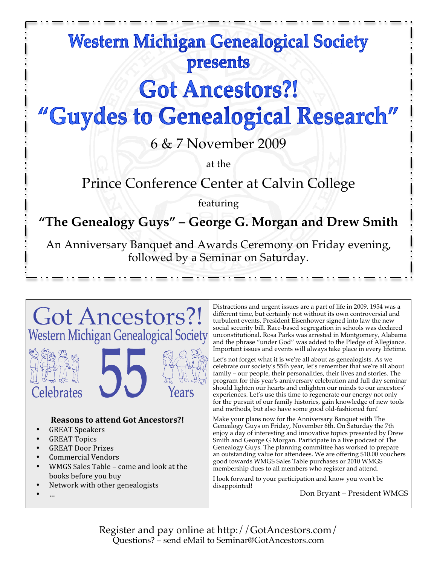## **Western Michigan Genealogical Society** presents

# **Got Ancestors?!**

# "Guydes to Genealogical Research"

6 & 7 November 2009

at the

Prince Conference Center at Calvin College

featuring

## **"The Genealogy Guys" – George G. Morgan and Drew Smith**

An Anniversary Banquet and Awards Ceremony on Friday evening, followed by a Seminar on Saturday.



'elebrates

### **Reasons to attend Got Ancestors?!**

- GREAT Speakers
- GREAT Topics
- GREAT Door Prizes
- Commercial Vendors
- WMGS Sales Table come and look at the books before you buy
- Network with other genealogists
- …

Distractions and urgent issues are a part of life in 2009. 1954 was a different time, but certainly not without its own controversial and turbulent events. President Eisenhower signed into law the new social security bill. Race-based segregation in schools was declared unconstitutional. Rosa Parks was arrested in Montgomery, Alabama and the phrase "under God" was added to the Pledge of Allegiance. Important issues and events will always take place in every lifetime.

Let's not forget what it is we're all about as genealogists. As we celebrate our society's 55th year, let's remember that we're all about family – our people, their personalities, their lives and stories. The program for this year's anniversary celebration and full day seminar should lighten our hearts and enlighten our minds to our ancestors' experiences. Let's use this time to regenerate our energy not only for the pursuit of our family histories, gain knowledge of new tools and methods, but also have some good old-fashioned fun!

Make your plans now for the Anniversary Banquet with The Genealogy Guys on Friday, November 6th. On Saturday the 7th enjoy a day of interesting and innovative topics presented by Drew Smith and George G Morgan. Participate in a live podcast of The Genealogy Guys. The planning committee has worked to prepare an outstanding value for attendees. We are offering \$10.00 vouchers good towards WMGS Sales Table purchases or 2010 WMGS membership dues to all members who register and attend.

I look forward to your participation and know you won't be disappointed!

Don Bryant – President WMGS

Register and pay online at http://GotAncestors.com/ Questions? – send eMail to Seminar@GotAncestors.com

Years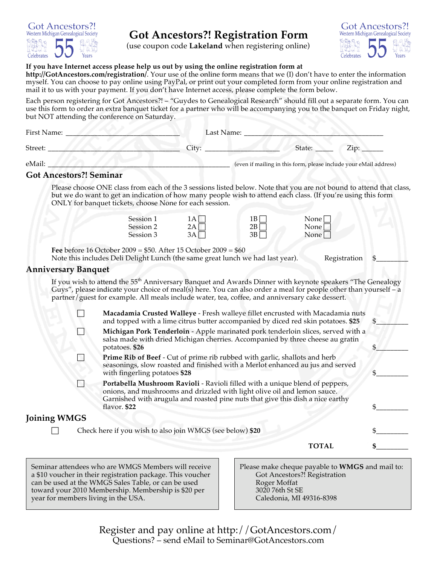

### **Got Ancestors?! Registration Form**

(use coupon code **Lakeland** when registering online)



#### **If you have Internet access please help us out by using the online registration form at**

**http://GotAncestors.com/registration/**. Your use of the online form means that we (I) don't have to enter the information myself. You can choose to pay online using PayPal, or print out your completed form from your online registration and mail it to us with your payment. If you don't have Internet access, please complete the form below.

Each person registering for Got Ancestors?! – "Guydes to Genealogical Research" should fill out a separate form. You can use this form to order an extra banquet ticket for a partner who will be accompanying you to the banquet on Friday night, but NOT attending the conference on Saturday.

|                     | First Name:                    |                                                                                                                                                                                                                                                                                                                                                                                                                               |                                  | Last Name: ____                                                   |                                       |                                                 |
|---------------------|--------------------------------|-------------------------------------------------------------------------------------------------------------------------------------------------------------------------------------------------------------------------------------------------------------------------------------------------------------------------------------------------------------------------------------------------------------------------------|----------------------------------|-------------------------------------------------------------------|---------------------------------------|-------------------------------------------------|
| Street:             |                                |                                                                                                                                                                                                                                                                                                                                                                                                                               | City:                            |                                                                   | State:                                | Zip:                                            |
| eMail:              |                                |                                                                                                                                                                                                                                                                                                                                                                                                                               |                                  | (even if mailing in this form, please include your eMail address) |                                       |                                                 |
|                     | <b>Got Ancestors?! Seminar</b> |                                                                                                                                                                                                                                                                                                                                                                                                                               |                                  |                                                                   |                                       |                                                 |
|                     |                                | Please choose ONE class from each of the 3 sessions listed below. Note that you are not bound to attend that class,<br>but we do want to get an indication of how many people wish to attend each class. (If you're using this form<br>ONLY for banquet tickets, choose None for each session.                                                                                                                                |                                  |                                                                   |                                       |                                                 |
|                     |                                | Session 1<br>Session 2<br>Session 3                                                                                                                                                                                                                                                                                                                                                                                           | $1A\Box$<br>$2A\Box$<br>$3A\Box$ | $1B\Box$<br>$2B\Box$<br>$3B\Box$                                  | None  <br>None <sup>[</sup><br>None [ |                                                 |
|                     |                                | Fee before 16 October 2009 = $$50.$ After 15 October 2009 = $$60$<br>Note this includes Deli Delight Lunch (the same great lunch we had last year).                                                                                                                                                                                                                                                                           |                                  |                                                                   |                                       | Registration                                    |
|                     | <b>Anniversary Banquet</b>     |                                                                                                                                                                                                                                                                                                                                                                                                                               |                                  |                                                                   |                                       |                                                 |
|                     |                                | If you wish to attend the 55 <sup>th</sup> Anniversary Banquet and Awards Dinner with keynote speakers "The Genealogy<br>Guys", please indicate your choice of meal(s) here. You can also order a meal for people other than yourself - a<br>partner/guest for example. All meals include water, tea, coffee, and anniversary cake dessert.<br>Macadamia Crusted Walleye - Fresh walleye fillet encrusted with Macadamia nuts |                                  |                                                                   |                                       |                                                 |
|                     |                                | and topped with a lime citrus butter accompanied by diced red skin potatoes. \$25                                                                                                                                                                                                                                                                                                                                             |                                  |                                                                   |                                       | \$                                              |
|                     |                                | Michigan Pork Tenderloin - Apple marinated pork tenderloin slices, served with a<br>salsa made with dried Michigan cherries. Accompanied by three cheese au gratin<br>potatoes. \$26                                                                                                                                                                                                                                          |                                  |                                                                   |                                       | \$.                                             |
|                     |                                | Prime Rib of Beef - Cut of prime rib rubbed with garlic, shallots and herb<br>seasonings, slow roasted and finished with a Merlot enhanced au jus and served<br>with fingerling potatoes \$28                                                                                                                                                                                                                                 |                                  |                                                                   |                                       | \$                                              |
|                     |                                | Portabella Mushroom Ravioli - Ravioli filled with a unique blend of peppers,<br>onions, and mushrooms and drizzled with light olive oil and lemon sauce.<br>Garnished with arugula and roasted pine nuts that give this dish a nice earthy<br>flavor. \$22                                                                                                                                                                    |                                  |                                                                   |                                       | \$                                              |
| <b>Joining WMGS</b> |                                |                                                                                                                                                                                                                                                                                                                                                                                                                               |                                  |                                                                   |                                       |                                                 |
|                     |                                | Check here if you wish to also join WMGS (see below) \$20                                                                                                                                                                                                                                                                                                                                                                     |                                  |                                                                   |                                       |                                                 |
|                     |                                |                                                                                                                                                                                                                                                                                                                                                                                                                               |                                  |                                                                   | <b>TOTAL</b>                          |                                                 |
|                     |                                | Seminar attendees who are WMGS Members will receive<br>a \$10 voucher in their registration package. This voucher<br>can be used at the WMGS Sales Table, or can be used                                                                                                                                                                                                                                                      |                                  | Roger Moffat                                                      | Got Ancestors?! Registration          | Please make cheque payable to WMGS and mail to: |

3020 76th St SE

Caledonia, MI 49316-8398

Register and pay online at http://GotAncestors.com/ Questions? – send eMail to Seminar@GotAncestors.com

toward your 2010 Membership. Membership is \$20 per

year for members living in the USA.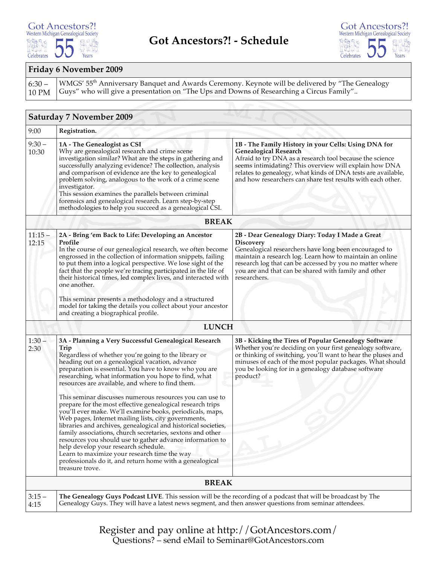#### **Got Ancestors?!** Western Michigan Genealogical Society 1821 1Å Celebrates A Years



#### **Friday 6 November 2009**

 $6:30 -$ 10 PM WMGS' 55<sup>th</sup> Anniversary Banquet and Awards Ceremony. Keynote will be delivered by "The Genealogy Guys" who will give a presentation on "The Ups and Downs of Researching a Circus Family"..

|                    | <b>Saturday 7 November 2009</b>                                                                                                                                                                                                                                                                                                                                                                                                                                                                                                                                                                                                                                                                                                                                                                                                                                                                                                                                   |                                                                                                                                                                                                                                                                                                                                           |  |  |  |  |  |
|--------------------|-------------------------------------------------------------------------------------------------------------------------------------------------------------------------------------------------------------------------------------------------------------------------------------------------------------------------------------------------------------------------------------------------------------------------------------------------------------------------------------------------------------------------------------------------------------------------------------------------------------------------------------------------------------------------------------------------------------------------------------------------------------------------------------------------------------------------------------------------------------------------------------------------------------------------------------------------------------------|-------------------------------------------------------------------------------------------------------------------------------------------------------------------------------------------------------------------------------------------------------------------------------------------------------------------------------------------|--|--|--|--|--|
| 9:00               | Registration.                                                                                                                                                                                                                                                                                                                                                                                                                                                                                                                                                                                                                                                                                                                                                                                                                                                                                                                                                     |                                                                                                                                                                                                                                                                                                                                           |  |  |  |  |  |
| $9:30 -$<br>10:30  | 1A - The Genealogist as CSI<br>Why are genealogical research and crime scene<br>investigation similar? What are the steps in gathering and<br>successfully analyzing evidence? The collection, analysis<br>and comparison of evidence are the key to genealogical<br>problem solving, analogous to the work of a crime scene<br>investigator.<br>This session examines the parallels between criminal<br>forensics and genealogical research. Learn step-by-step<br>methodologies to help you succeed as a genealogical CSI.                                                                                                                                                                                                                                                                                                                                                                                                                                      | 1B - The Family History in your Cells: Using DNA for<br><b>Genealogical Research</b><br>Afraid to try DNA as a research tool because the science<br>seems intimidating? This overview will explain how DNA<br>relates to genealogy, what kinds of DNA tests are available,<br>and how researchers can share test results with each other. |  |  |  |  |  |
|                    | <b>BREAK</b>                                                                                                                                                                                                                                                                                                                                                                                                                                                                                                                                                                                                                                                                                                                                                                                                                                                                                                                                                      |                                                                                                                                                                                                                                                                                                                                           |  |  |  |  |  |
| $11:15 -$<br>12:15 | 2A - Bring 'em Back to Life: Developing an Ancestor<br>Profile<br>In the course of our genealogical research, we often become<br>engrossed in the collection of information snippets, failing<br>to put them into a logical perspective. We lose sight of the<br>fact that the people we're tracing participated in the life of<br>their historical times, led complex lives, and interacted with<br>one another.<br>This seminar presents a methodology and a structured<br>model for taking the details you collect about your ancestor<br>and creating a biographical profile.                                                                                                                                                                                                                                                                                                                                                                                 | 2B - Dear Genealogy Diary: Today I Made a Great<br><b>Discovery</b><br>Genealogical researchers have long been encouraged to<br>maintain a research log. Learn how to maintain an online<br>research log that can be accessed by you no matter where<br>you are and that can be shared with family and other<br>researchers.              |  |  |  |  |  |
|                    | <b>LUNCH</b>                                                                                                                                                                                                                                                                                                                                                                                                                                                                                                                                                                                                                                                                                                                                                                                                                                                                                                                                                      |                                                                                                                                                                                                                                                                                                                                           |  |  |  |  |  |
| $1:30 -$<br>2:30   | 3A - Planning a Very Successful Genealogical Research<br>Trip<br>Regardless of whether you're going to the library or<br>heading out on a genealogical vacation, advance<br>preparation is essential. You have to know who you are<br>researching, what information you hope to find, what<br>resources are available, and where to find them.<br>This seminar discusses numerous resources you can use to<br>prepare for the most effective genealogical research trips<br>you'll ever make. We'll examine books, periodicals, maps,<br>Web pages, Internet mailing lists, city governments,<br>libraries and archives, genealogical and historical societies,<br>family associations, church secretaries, sextons and other<br>resources you should use to gather advance information to<br>help develop your research schedule.<br>Learn to maximize your research time the way<br>professionals do it, and return home with a genealogical<br>treasure trove. | 3B - Kicking the Tires of Popular Genealogy Software<br>Whether you're deciding on your first genealogy software,<br>or thinking of switching, you'll want to hear the pluses and<br>minuses of each of the most popular packages. What should<br>you be looking for in a genealogy database software<br>product?                         |  |  |  |  |  |
|                    | <b>BREAK</b>                                                                                                                                                                                                                                                                                                                                                                                                                                                                                                                                                                                                                                                                                                                                                                                                                                                                                                                                                      |                                                                                                                                                                                                                                                                                                                                           |  |  |  |  |  |
| $3:15-$<br>4:15    | The Genealogy Guys Podcast LIVE. This session will be the recording of a podcast that will be broadcast by The<br>Genealogy Guys. They will have a latest news segment, and then answer questions from seminar attendees.                                                                                                                                                                                                                                                                                                                                                                                                                                                                                                                                                                                                                                                                                                                                         |                                                                                                                                                                                                                                                                                                                                           |  |  |  |  |  |

Register and pay online at http://GotAncestors.com/ Questions? – send eMail to Seminar@GotAncestors.com